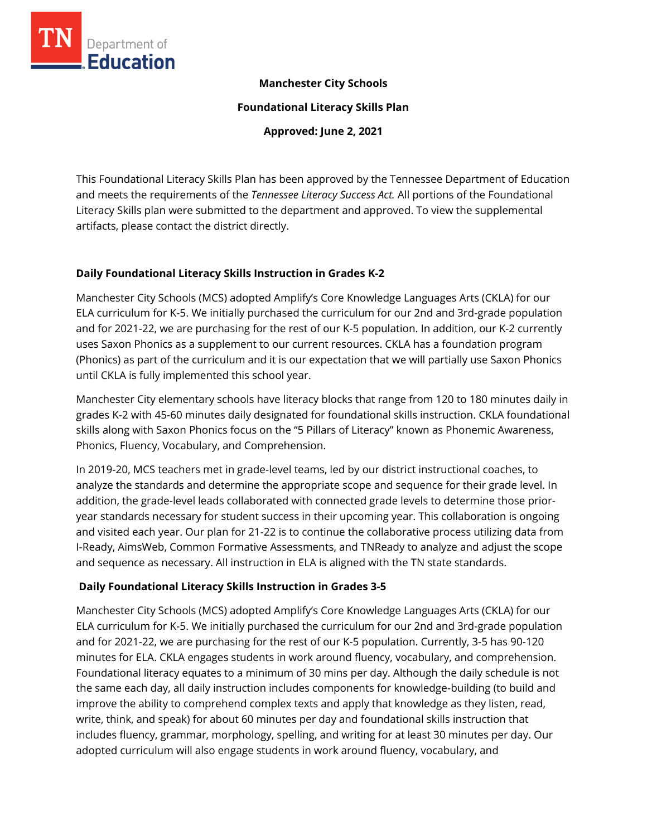

# **Manchester City Schools**

**Foundational Literacy Skills Plan**

**Approved: June 2, 2021**

This Foundational Literacy Skills Plan has been approved by the Tennessee Department of Education and meets the requirements of the *Tennessee Literacy Success Act.* All portions of the Foundational Literacy Skills plan were submitted to the department and approved. To view the supplemental artifacts, please contact the district directly.

# **Daily Foundational Literacy Skills Instruction in Grades K-2**

Manchester City Schools (MCS) adopted Amplify's Core Knowledge Languages Arts (CKLA) for our ELA curriculum for K-5. We initially purchased the curriculum for our 2nd and 3rd-grade population and for 2021-22, we are purchasing for the rest of our K-5 population. In addition, our K-2 currently uses Saxon Phonics as a supplement to our current resources. CKLA has a foundation program (Phonics) as part of the curriculum and it is our expectation that we will partially use Saxon Phonics until CKLA is fully implemented this school year.

Manchester City elementary schools have literacy blocks that range from 120 to 180 minutes daily in grades K-2 with 45-60 minutes daily designated for foundational skills instruction. CKLA foundational skills along with Saxon Phonics focus on the "5 Pillars of Literacy" known as Phonemic Awareness, Phonics, Fluency, Vocabulary, and Comprehension.

In 2019-20, MCS teachers met in grade-level teams, led by our district instructional coaches, to analyze the standards and determine the appropriate scope and sequence for their grade level. In addition, the grade-level leads collaborated with connected grade levels to determine those prioryear standards necessary for student success in their upcoming year. This collaboration is ongoing and visited each year. Our plan for 21-22 is to continue the collaborative process utilizing data from I-Ready, AimsWeb, Common Formative Assessments, and TNReady to analyze and adjust the scope and sequence as necessary. All instruction in ELA is aligned with the TN state standards.

# **Daily Foundational Literacy Skills Instruction in Grades 3-5**

Manchester City Schools (MCS) adopted Amplify's Core Knowledge Languages Arts (CKLA) for our ELA curriculum for K-5. We initially purchased the curriculum for our 2nd and 3rd-grade population and for 2021-22, we are purchasing for the rest of our K-5 population. Currently, 3-5 has 90-120 minutes for ELA. CKLA engages students in work around fluency, vocabulary, and comprehension. Foundational literacy equates to a minimum of 30 mins per day. Although the daily schedule is not the same each day, all daily instruction includes components for knowledge-building (to build and improve the ability to comprehend complex texts and apply that knowledge as they listen, read, write, think, and speak) for about 60 minutes per day and foundational skills instruction that includes fluency, grammar, morphology, spelling, and writing for at least 30 minutes per day. Our adopted curriculum will also engage students in work around fluency, vocabulary, and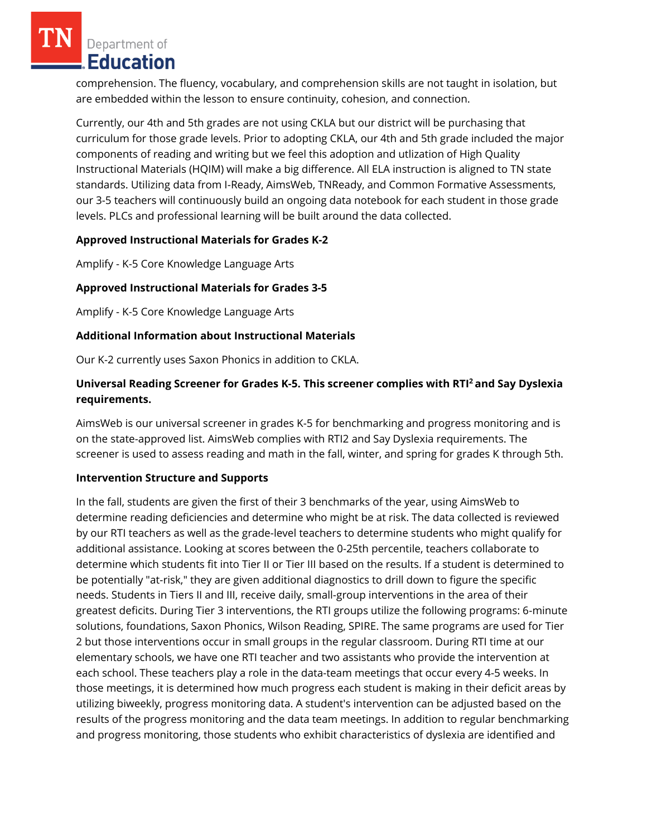Department of Education

comprehension. The fluency, vocabulary, and comprehension skills are not taught in isolation, but are embedded within the lesson to ensure continuity, cohesion, and connection.

Currently, our 4th and 5th grades are not using CKLA but our district will be purchasing that curriculum for those grade levels. Prior to adopting CKLA, our 4th and 5th grade included the major components of reading and writing but we feel this adoption and utlization of High Quality Instructional Materials (HQIM) will make a big difference. All ELA instruction is aligned to TN state standards. Utilizing data from I-Ready, AimsWeb, TNReady, and Common Formative Assessments, our 3-5 teachers will continuously build an ongoing data notebook for each student in those grade levels. PLCs and professional learning will be built around the data collected.

### **Approved Instructional Materials for Grades K-2**

Amplify - K-5 Core Knowledge Language Arts

# **Approved Instructional Materials for Grades 3-5**

Amplify - K-5 Core Knowledge Language Arts

# **Additional Information about Instructional Materials**

Our K-2 currently uses Saxon Phonics in addition to CKLA.

# **Universal Reading Screener for Grades K-5. This screener complies with RTI<sup>2</sup>and Say Dyslexia requirements.**

AimsWeb is our universal screener in grades K-5 for benchmarking and progress monitoring and is on the state-approved list. AimsWeb complies with RTI2 and Say Dyslexia requirements. The screener is used to assess reading and math in the fall, winter, and spring for grades K through 5th.

### **Intervention Structure and Supports**

In the fall, students are given the first of their 3 benchmarks of the year, using AimsWeb to determine reading deficiencies and determine who might be at risk. The data collected is reviewed by our RTI teachers as well as the grade-level teachers to determine students who might qualify for additional assistance. Looking at scores between the 0-25th percentile, teachers collaborate to determine which students fit into Tier II or Tier III based on the results. If a student is determined to be potentially "at-risk," they are given additional diagnostics to drill down to figure the specific needs. Students in Tiers II and III, receive daily, small-group interventions in the area of their greatest deficits. During Tier 3 interventions, the RTI groups utilize the following programs: 6-minute solutions, foundations, Saxon Phonics, Wilson Reading, SPIRE. The same programs are used for Tier 2 but those interventions occur in small groups in the regular classroom. During RTI time at our elementary schools, we have one RTI teacher and two assistants who provide the intervention at each school. These teachers play a role in the data-team meetings that occur every 4-5 weeks. In those meetings, it is determined how much progress each student is making in their deficit areas by utilizing biweekly, progress monitoring data. A student's intervention can be adjusted based on the results of the progress monitoring and the data team meetings. In addition to regular benchmarking and progress monitoring, those students who exhibit characteristics of dyslexia are identified and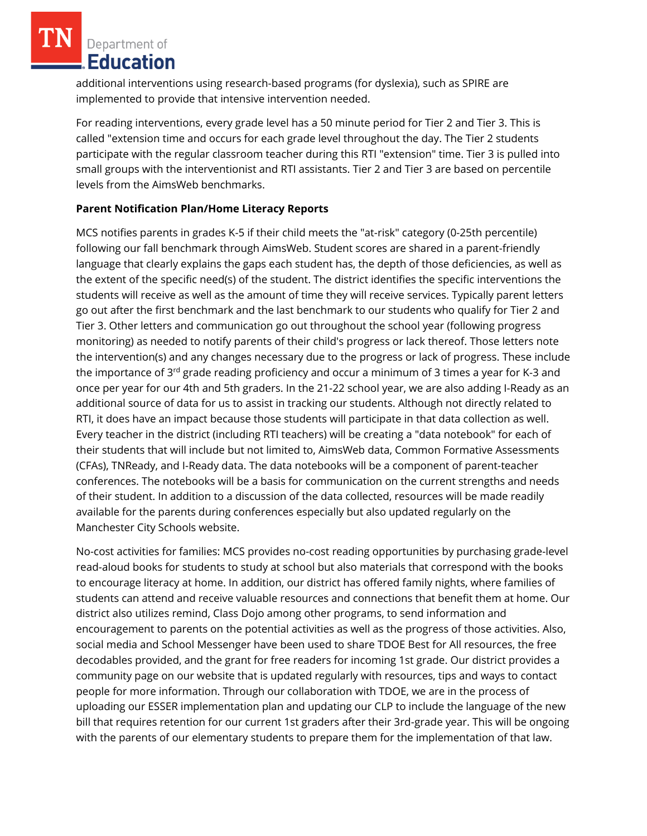Department of Education

additional interventions using research-based programs (for dyslexia), such as SPIRE are implemented to provide that intensive intervention needed.

For reading interventions, every grade level has a 50 minute period for Tier 2 and Tier 3. This is called "extension time and occurs for each grade level throughout the day. The Tier 2 students participate with the regular classroom teacher during this RTI "extension" time. Tier 3 is pulled into small groups with the interventionist and RTI assistants. Tier 2 and Tier 3 are based on percentile levels from the AimsWeb benchmarks.

# **Parent Notification Plan/Home Literacy Reports**

MCS notifies parents in grades K-5 if their child meets the "at-risk" category (0-25th percentile) following our fall benchmark through AimsWeb. Student scores are shared in a parent-friendly language that clearly explains the gaps each student has, the depth of those deficiencies, as well as the extent of the specific need(s) of the student. The district identifies the specific interventions the students will receive as well as the amount of time they will receive services. Typically parent letters go out after the first benchmark and the last benchmark to our students who qualify for Tier 2 and Tier 3. Other letters and communication go out throughout the school year (following progress monitoring) as needed to notify parents of their child's progress or lack thereof. Those letters note the intervention(s) and any changes necessary due to the progress or lack of progress. These include the importance of 3<sup>rd</sup> grade reading proficiency and occur a minimum of 3 times a year for K-3 and once per year for our 4th and 5th graders. In the 21-22 school year, we are also adding I-Ready as an additional source of data for us to assist in tracking our students. Although not directly related to RTI, it does have an impact because those students will participate in that data collection as well. Every teacher in the district (including RTI teachers) will be creating a "data notebook" for each of their students that will include but not limited to, AimsWeb data, Common Formative Assessments (CFAs), TNReady, and I-Ready data. The data notebooks will be a component of parent-teacher conferences. The notebooks will be a basis for communication on the current strengths and needs of their student. In addition to a discussion of the data collected, resources will be made readily available for the parents during conferences especially but also updated regularly on the Manchester City Schools website.

No-cost activities for families: MCS provides no-cost reading opportunities by purchasing grade-level read-aloud books for students to study at school but also materials that correspond with the books to encourage literacy at home. In addition, our district has offered family nights, where families of students can attend and receive valuable resources and connections that benefit them at home. Our district also utilizes remind, Class Dojo among other programs, to send information and encouragement to parents on the potential activities as well as the progress of those activities. Also, social media and School Messenger have been used to share TDOE Best for All resources, the free decodables provided, and the grant for free readers for incoming 1st grade. Our district provides a community page on our website that is updated regularly with resources, tips and ways to contact people for more information. Through our collaboration with TDOE, we are in the process of uploading our ESSER implementation plan and updating our CLP to include the language of the new bill that requires retention for our current 1st graders after their 3rd-grade year. This will be ongoing with the parents of our elementary students to prepare them for the implementation of that law.